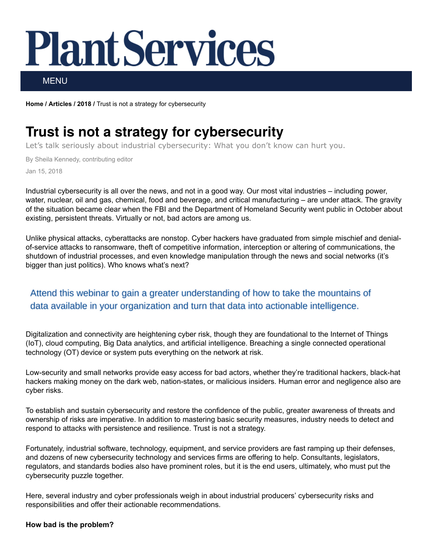# **Plant Services**

MENU

[Home](https://www.plantservices.com/) / [Articles](https://www.plantservices.com/articles/) / [2018](https://www.plantservices.com/articles/2018/) / Trust is not a strategy for cybersecurity

# Trust is not a strategy for cybersecurity

Let's talk seriously about industrial cybersecurity: What you don't know can hurt you.

By Sheila Kennedy, contributing editor Jan 15, 2018

Industrial cybersecurity is all over the news, and not in a good way. Our most vital industries – including power, water, nuclear, oil and gas, chemical, food and beverage, and critical manufacturing – are under attack. The gravity of the situation became clear when the FBI and the Department of Homeland Security went public in October about existing, persistent threats. Virtually or not, bad actors are among us.

Unlike physical attacks, cyberattacks are nonstop. Cyber hackers have graduated from simple mischief and denialof-service attacks to ransomware, theft of competitive information, interception or altering of communications, the shutdown of industrial processes, and even knowledge manipulation through the news and social networks (it's bigger than just politics). Who knows what's next?

### Attend this webinar to gain a greater understanding of how to take the mountains of data available in your organization and turn that data into actionable intelligence.

Digitalization and connectivity are heightening cyber risk, though they are foundational to the Internet of Things (IoT), cloud computing, Big Data analytics, and artificial intelligence. Breaching a single connected operational technology (OT) device or system puts everything on the network at risk.

Low-security and small networks provide easy access for bad actors, whether they're traditional hackers, black-hat hackers making money on the dark web, nation-states, or malicious insiders. Human error and negligence also are cyber risks.

To establish and sustain cybersecurity and restore the confidence of the public, greater awareness of threats and ownership of risks are imperative. In addition to mastering basic security measures, industry needs to detect and respond to attacks with persistence and resilience. Trust is not a strategy.

Fortunately, industrial software, technology, equipment, and service providers are fast ramping up their defenses, and dozens of new cybersecurity technology and services firms are offering to help. Consultants, legislators, regulators, and standards bodies also have prominent roles, but it is the end users, ultimately, who must put the cybersecurity puzzle together.

Here, several industry and cyber professionals weigh in about industrial producers' cybersecurity risks and responsibilities and offer their actionable recommendations.

#### How bad is the problem?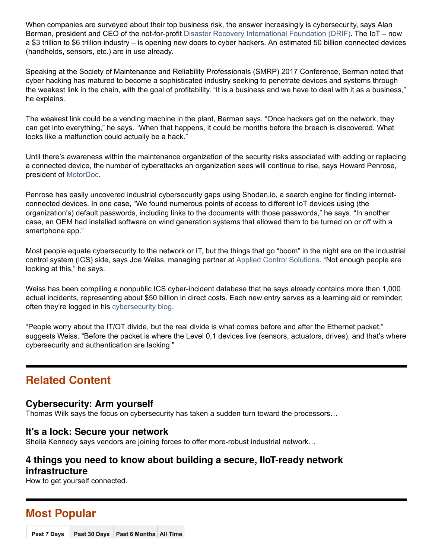When companies are surveyed about their top business risk, the answer increasingly is cybersecurity, says Alan Berman, president and CEO of the not-for-profit [Disaster Recovery International Foundation \(DRIF\).](http://www.thedrifoundation.org/) The IoT – now a \$3 trillion to \$6 trillion industry – is opening new doors to cyber hackers. An estimated 50 billion connected devices (handhelds, sensors, etc.) are in use already.

Speaking at the Society of Maintenance and Reliability Professionals (SMRP) 2017 Conference, Berman noted that cyber hacking has matured to become a sophisticated industry seeking to penetrate devices and systems through the weakest link in the chain, with the goal of profitability. "It is a business and we have to deal with it as a business," he explains.

The weakest link could be a vending machine in the plant, Berman says. "Once hackers get on the network, they can get into everything," he says. "When that happens, it could be months before the breach is discovered. What looks like a malfunction could actually be a hack."

Until there's awareness within the maintenance organization of the security risks associated with adding or replacing a connected device, the number of cyberattacks an organization sees will continue to rise, says Howard Penrose, president of [MotorDoc.](http://www.motordoc.com/)

Penrose has easily uncovered industrial cybersecurity gaps using Shodan.io, a search engine for finding internetconnected devices. In one case, "We found numerous points of access to different IoT devices using (the organization's) default passwords, including links to the documents with those passwords," he says. "In another case, an OEM had installed software on wind generation systems that allowed them to be turned on or off with a smartphone app."

Most people equate cybersecurity to the network or IT, but the things that go "boom" in the night are on the industrial control system (ICS) side, says Joe Weiss, managing partner at [Applied Control Solutions.](http://www.realtimeacs.com/) "Not enough people are looking at this," he says.

Weiss has been compiling a nonpublic ICS cyber-incident database that he says already contains more than 1,000 actual incidents, representing about \$50 billion in direct costs. Each new entry serves as a learning aid or reminder; often they're logged in his [cybersecurity blog.](http://www.controlglobal.com/blogs/unfettered)

"People worry about the IT/OT divide, but the real divide is what comes before and after the Ethernet packet," suggests Weiss. "Before the packet is where the Level 0,1 devices live (sensors, actuators, drives), and that's where cybersecurity and authentication are lacking."

## Related Content

#### [Cybersecurity:](https://www.plantservices.com/articles/2018/from-the-editor-cybersecurity-arm-yourself/) Arm yourself

Thomas Wilk says the focus on cybersecurity has taken a sudden turn toward the processors…

#### It's a lock: Secure your [network](https://www.plantservices.com/articles/2017/technology-toolbox-its-a-lock-secure-your-network/)

Sheila Kennedy says vendors are joining forces to offer more-robust industrial network…

#### 4 things you need to know about building a secure, IIoT-ready network [infrastructure](https://www.plantservices.com/articles/2017/building-secure-iiot-ready-network-infrastructure/)

How to get yourself connected.

## Most Popular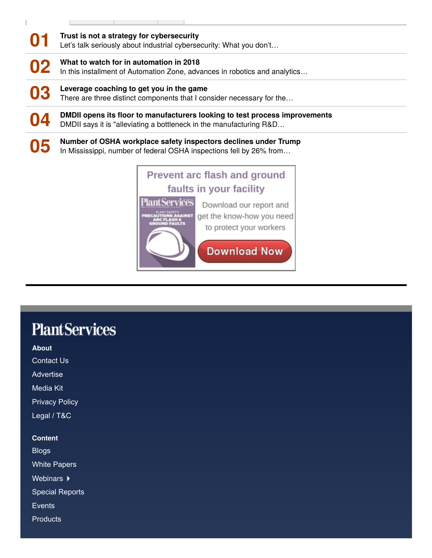| 01 | Trust is not a strategy for cybersecurity<br>Let's talk seriously about industrial cybersecurity: What you don't                                   |
|----|----------------------------------------------------------------------------------------------------------------------------------------------------|
| 02 | What to watch for in automation in 2018<br>In this installment of Automation Zone, advances in robotics and analytics                              |
| 03 | Leverage coaching to get you in the game<br>There are three distinct components that I consider necessary for the                                  |
| 04 | DMDII opens its floor to manufacturers looking to test process improvements<br>DMDII says it is "alleviating a bottleneck in the manufacturing R&D |
| 05 | Number of OSHA workplace safety inspectors declines under Trump<br>In Mississippi, number of federal OSHA inspections fell by 26% from             |

# Prevent arc flash and ground faults in your facility **PlantServices** Download our report and get the know-how you need **ASH &<br>FAULTS** to protect your workers **Download Now**

# **PlantServices**

About

[Contact Us](https://www.plantservices.com/contact-us/)

[Advertise](http://www.putmanmedia.com/our-brands/plant-services)

[Media Kit](http://www.putmanmedia.com/our-brands/plant-services/downloads-8)

[Privacy Policy](https://www.plantservices.com/privacy-policy/)

[Legal / T&C](https://www.plantservices.com/terms-and-conditions/)

**Content** 

[Blogs](https://www.plantservices.com/blogs/)

[White Papers](https://www.plantservices.com/whitepapers/)

Webinars  $\blacktriangleright$ 

[Special Reports](https://www.plantservices.com/ebooks/)

**[Events](https://www.plantservices.com/events/)** 

**[Products](https://www.plantservices.com/vendors/products/)**